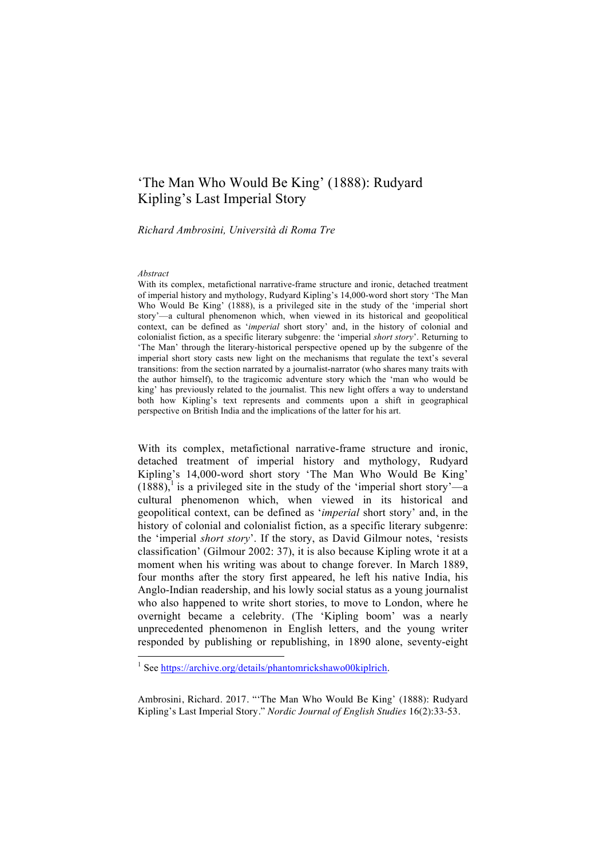# 'The Man Who Would Be King' (1888): Rudyard Kipling's Last Imperial Story

*Richard Ambrosini, Università di Roma Tre*

#### *Abstract*

With its complex, metafictional narrative-frame structure and ironic, detached treatment of imperial history and mythology, Rudyard Kipling's 14,000-word short story 'The Man Who Would Be King' (1888), is a privileged site in the study of the 'imperial short story'—a cultural phenomenon which, when viewed in its historical and geopolitical context, can be defined as '*imperial* short story' and, in the history of colonial and colonialist fiction, as a specific literary subgenre: the 'imperial *short story*'. Returning to 'The Man' through the literary-historical perspective opened up by the subgenre of the imperial short story casts new light on the mechanisms that regulate the text's several transitions: from the section narrated by a journalist-narrator (who shares many traits with the author himself), to the tragicomic adventure story which the 'man who would be king' has previously related to the journalist. This new light offers a way to understand both how Kipling's text represents and comments upon a shift in geographical perspective on British India and the implications of the latter for his art.

With its complex, metafictional narrative-frame structure and ironic, detached treatment of imperial history and mythology, Rudyard Kipling's 14,000-word short story 'The Man Who Would Be King'  $(1888)$ , is a privileged site in the study of the 'imperial short story'—a cultural phenomenon which, when viewed in its historical and geopolitical context, can be defined as '*imperial* short story' and, in the history of colonial and colonialist fiction, as a specific literary subgenre: the 'imperial *short story*'. If the story, as David Gilmour notes, 'resists classification' (Gilmour 2002: 37), it is also because Kipling wrote it at a moment when his writing was about to change forever. In March 1889, four months after the story first appeared, he left his native India, his Anglo-Indian readership, and his lowly social status as a young journalist who also happened to write short stories, to move to London, where he overnight became a celebrity. (The 'Kipling boom' was a nearly unprecedented phenomenon in English letters, and the young writer responded by publishing or republishing, in 1890 alone, seventy-eight

<sup>&</sup>lt;sup>1</sup> See https://archive.org/details/phantomrickshawo00kiplrich.

Ambrosini, Richard. 2017. "'The Man Who Would Be King' (1888): Rudyard Kipling's Last Imperial Story." *Nordic Journal of English Studies* 16(2):33-53.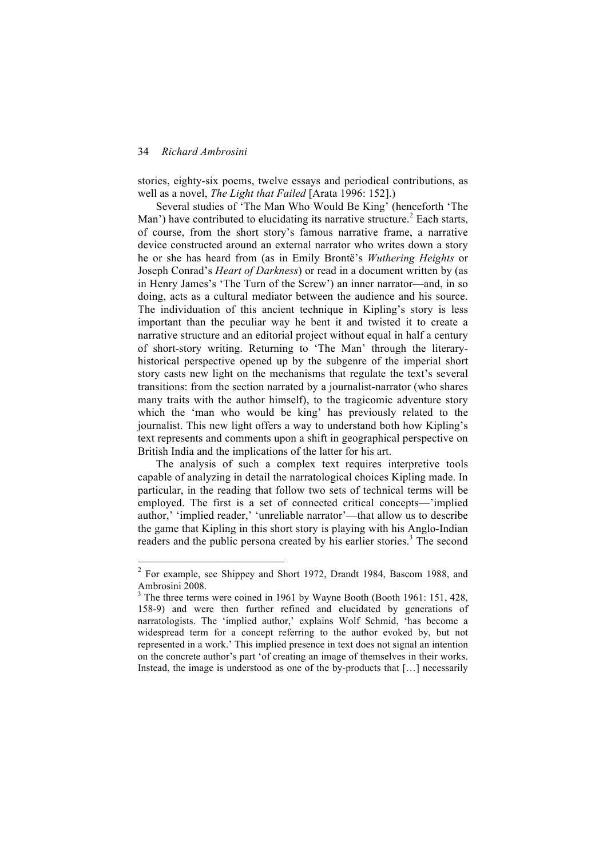stories, eighty-six poems, twelve essays and periodical contributions, as well as a novel, *The Light that Failed* [Arata 1996: 152].)

Several studies of 'The Man Who Would Be King' (henceforth 'The Man') have contributed to elucidating its narrative structure.<sup>2</sup> Each starts, of course, from the short story's famous narrative frame, a narrative device constructed around an external narrator who writes down a story he or she has heard from (as in Emily Brontë's *Wuthering Heights* or Joseph Conrad's *Heart of Darkness*) or read in a document written by (as in Henry James's 'The Turn of the Screw') an inner narrator—and, in so doing, acts as a cultural mediator between the audience and his source. The individuation of this ancient technique in Kipling's story is less important than the peculiar way he bent it and twisted it to create a narrative structure and an editorial project without equal in half a century of short-story writing. Returning to 'The Man' through the literaryhistorical perspective opened up by the subgenre of the imperial short story casts new light on the mechanisms that regulate the text's several transitions: from the section narrated by a journalist-narrator (who shares many traits with the author himself), to the tragicomic adventure story which the 'man who would be king' has previously related to the journalist. This new light offers a way to understand both how Kipling's text represents and comments upon a shift in geographical perspective on British India and the implications of the latter for his art.

The analysis of such a complex text requires interpretive tools capable of analyzing in detail the narratological choices Kipling made. In particular, in the reading that follow two sets of technical terms will be employed. The first is a set of connected critical concepts—'implied author,' 'implied reader,' 'unreliable narrator'—that allow us to describe the game that Kipling in this short story is playing with his Anglo-Indian readers and the public persona created by his earlier stories.<sup>3</sup> The second

 <sup>2</sup> For example, see Shippey and Short 1972, Drandt 1984, Bascom 1988, and Ambrosini 2008.

<sup>&</sup>lt;sup>3</sup> The three terms were coined in 1961 by Wayne Booth (Booth 1961: 151, 428, 158-9) and were then further refined and elucidated by generations of narratologists. The 'implied author,' explains Wolf Schmid, 'has become a widespread term for a concept referring to the author evoked by, but not represented in a work.' This implied presence in text does not signal an intention on the concrete author's part 'of creating an image of themselves in their works. Instead, the image is understood as one of the by-products that […] necessarily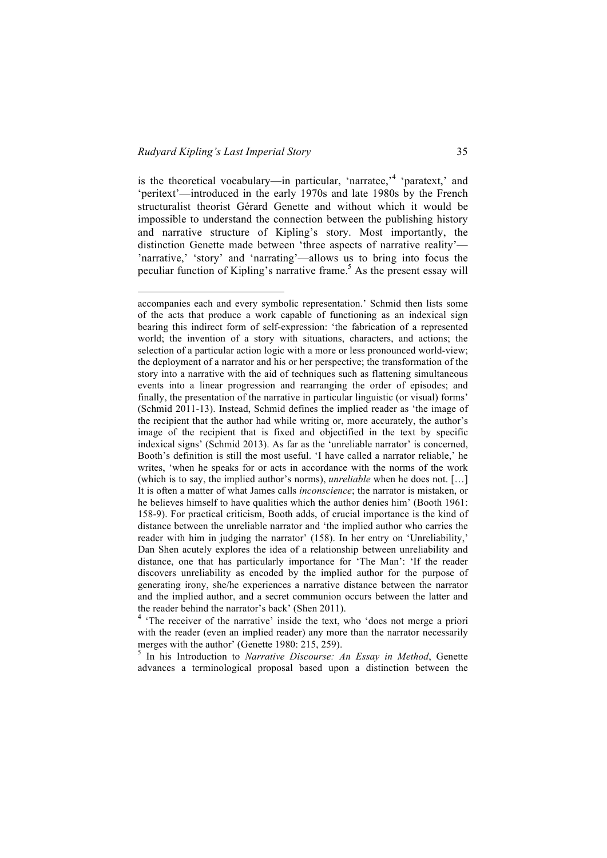l

is the theoretical vocabulary—in particular, 'narratee,'<sup>4</sup> 'paratext,' and 'peritext'—introduced in the early 1970s and late 1980s by the French structuralist theorist Gérard Genette and without which it would be impossible to understand the connection between the publishing history and narrative structure of Kipling's story. Most importantly, the distinction Genette made between 'three aspects of narrative reality'— 'narrative,' 'story' and 'narrating'—allows us to bring into focus the peculiar function of Kipling's narrative frame.<sup>5</sup> As the present essay will

advances a terminological proposal based upon a distinction between the

accompanies each and every symbolic representation.' Schmid then lists some of the acts that produce a work capable of functioning as an indexical sign bearing this indirect form of self-expression: 'the fabrication of a represented world; the invention of a story with situations, characters, and actions; the selection of a particular action logic with a more or less pronounced world-view; the deployment of a narrator and his or her perspective; the transformation of the story into a narrative with the aid of techniques such as flattening simultaneous events into a linear progression and rearranging the order of episodes; and finally, the presentation of the narrative in particular linguistic (or visual) forms' (Schmid 2011-13). Instead, Schmid defines the implied reader as 'the image of the recipient that the author had while writing or, more accurately, the author's image of the recipient that is fixed and objectified in the text by specific indexical signs' (Schmid 2013). As far as the 'unreliable narrator' is concerned, Booth's definition is still the most useful. 'I have called a narrator reliable,' he writes, 'when he speaks for or acts in accordance with the norms of the work (which is to say, the implied author's norms), *unreliable* when he does not. […] It is often a matter of what James calls *inconscience*; the narrator is mistaken, or he believes himself to have qualities which the author denies him' (Booth 1961: 158-9). For practical criticism, Booth adds, of crucial importance is the kind of distance between the unreliable narrator and 'the implied author who carries the reader with him in judging the narrator' (158). In her entry on 'Unreliability,' Dan Shen acutely explores the idea of a relationship between unreliability and distance, one that has particularly importance for 'The Man': 'If the reader discovers unreliability as encoded by the implied author for the purpose of generating irony, she/he experiences a narrative distance between the narrator and the implied author, and a secret communion occurs between the latter and the reader behind the narrator's back' (Shen 2011).

<sup>&</sup>lt;sup>4</sup> 'The receiver of the narrative' inside the text, who 'does not merge a priori with the reader (even an implied reader) any more than the narrator necessarily merges with the author' (Genette 1980: 215, 259).<br><sup>5</sup> In his Introduction to *Narrative Discourse: An Essay in Method*, Genette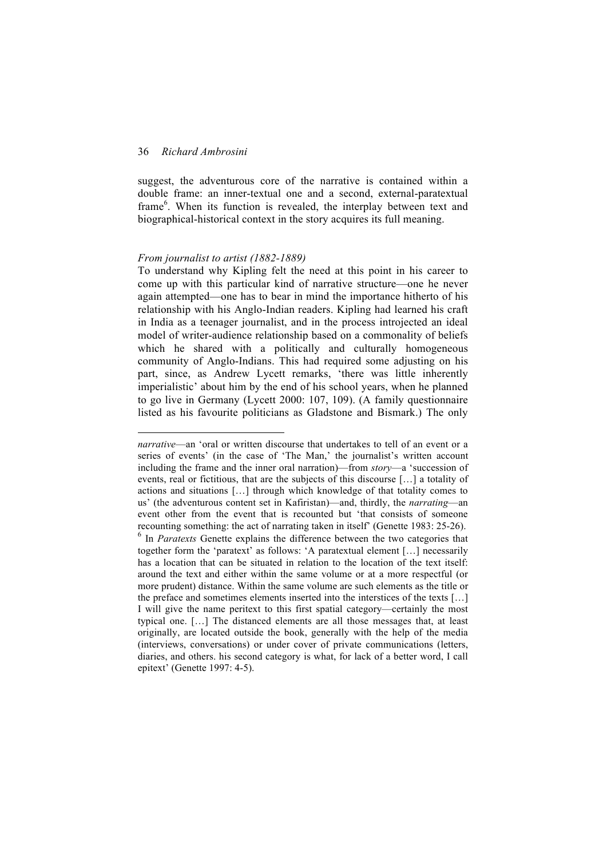l

suggest, the adventurous core of the narrative is contained within a double frame: an inner-textual one and a second, external-paratextual frame<sup>6</sup>. When its function is revealed, the interplay between text and biographical-historical context in the story acquires its full meaning.

## *From journalist to artist (1882-1889)*

To understand why Kipling felt the need at this point in his career to come up with this particular kind of narrative structure—one he never again attempted—one has to bear in mind the importance hitherto of his relationship with his Anglo-Indian readers. Kipling had learned his craft in India as a teenager journalist, and in the process introjected an ideal model of writer-audience relationship based on a commonality of beliefs which he shared with a politically and culturally homogeneous community of Anglo-Indians. This had required some adjusting on his part, since, as Andrew Lycett remarks, 'there was little inherently imperialistic' about him by the end of his school years, when he planned to go live in Germany (Lycett 2000: 107, 109). (A family questionnaire listed as his favourite politicians as Gladstone and Bismark.) The only

*narrative*—an 'oral or written discourse that undertakes to tell of an event or a series of events' (in the case of 'The Man,' the journalist's written account including the frame and the inner oral narration)—from *story*—a 'succession of events, real or fictitious, that are the subjects of this discourse […] a totality of actions and situations […] through which knowledge of that totality comes to us' (the adventurous content set in Kafiristan)—and, thirdly, the *narrating*—an event other from the event that is recounted but 'that consists of someone recounting something: the act of narrating taken in itself' (Genette 1983: 25-26). <sup>6</sup> In *Paratexts* Genette explains the difference between the two categories that together form the 'paratext' as follows: 'A paratextual element […] necessarily has a location that can be situated in relation to the location of the text itself: around the text and either within the same volume or at a more respectful (or more prudent) distance. Within the same volume are such elements as the title or the preface and sometimes elements inserted into the interstices of the texts […] I will give the name peritext to this first spatial category—certainly the most typical one. […] The distanced elements are all those messages that, at least originally, are located outside the book, generally with the help of the media (interviews, conversations) or under cover of private communications (letters, diaries, and others. his second category is what, for lack of a better word, I call epitext' (Genette 1997: 4-5).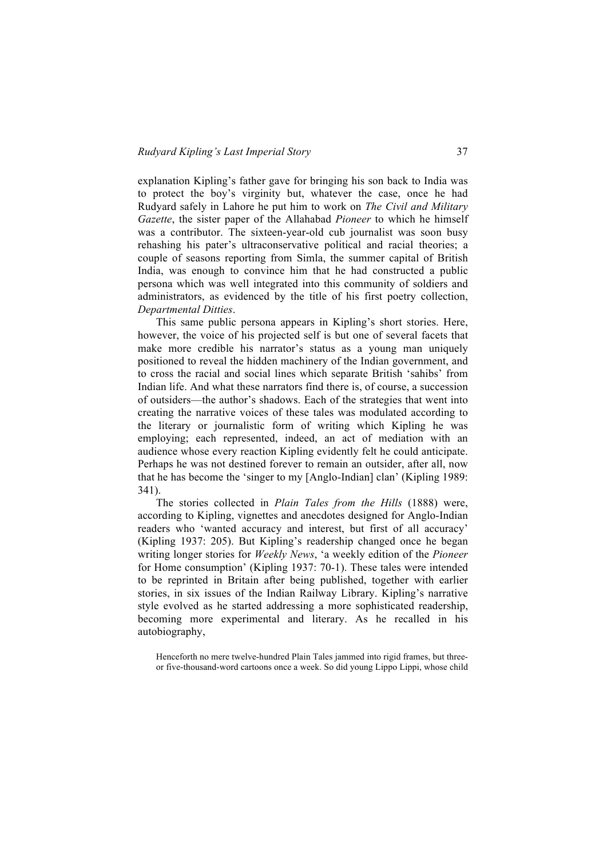explanation Kipling's father gave for bringing his son back to India was to protect the boy's virginity but, whatever the case, once he had Rudyard safely in Lahore he put him to work on *The Civil and Military Gazette*, the sister paper of the Allahabad *Pioneer* to which he himself was a contributor. The sixteen-year-old cub journalist was soon busy rehashing his pater's ultraconservative political and racial theories; a couple of seasons reporting from Simla, the summer capital of British India, was enough to convince him that he had constructed a public persona which was well integrated into this community of soldiers and administrators, as evidenced by the title of his first poetry collection, *Departmental Ditties*.

This same public persona appears in Kipling's short stories. Here, however, the voice of his projected self is but one of several facets that make more credible his narrator's status as a young man uniquely positioned to reveal the hidden machinery of the Indian government, and to cross the racial and social lines which separate British 'sahibs' from Indian life. And what these narrators find there is, of course, a succession of outsiders—the author's shadows. Each of the strategies that went into creating the narrative voices of these tales was modulated according to the literary or journalistic form of writing which Kipling he was employing; each represented, indeed, an act of mediation with an audience whose every reaction Kipling evidently felt he could anticipate. Perhaps he was not destined forever to remain an outsider, after all, now that he has become the 'singer to my [Anglo-Indian] clan' (Kipling 1989: 341).

The stories collected in *Plain Tales from the Hills* (1888) were, according to Kipling, vignettes and anecdotes designed for Anglo-Indian readers who 'wanted accuracy and interest, but first of all accuracy' (Kipling 1937: 205). But Kipling's readership changed once he began writing longer stories for *Weekly News*, 'a weekly edition of the *Pioneer* for Home consumption' (Kipling 1937: 70-1). These tales were intended to be reprinted in Britain after being published, together with earlier stories, in six issues of the Indian Railway Library. Kipling's narrative style evolved as he started addressing a more sophisticated readership, becoming more experimental and literary. As he recalled in his autobiography,

Henceforth no mere twelve-hundred Plain Tales jammed into rigid frames, but threeor five-thousand-word cartoons once a week. So did young Lippo Lippi, whose child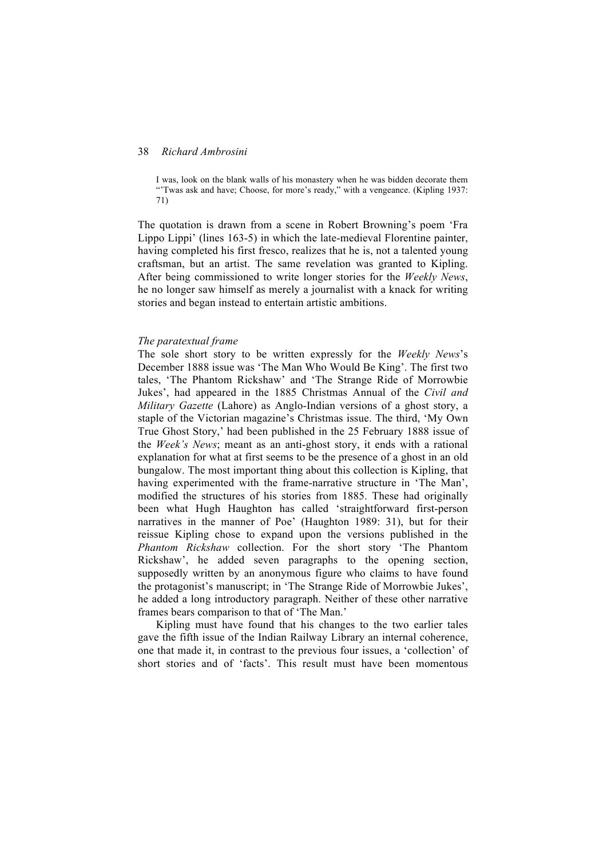I was, look on the blank walls of his monastery when he was bidden decorate them "'Twas ask and have; Choose, for more's ready," with a vengeance. (Kipling 1937: 71)

The quotation is drawn from a scene in Robert Browning's poem 'Fra Lippo Lippi' (lines 163-5) in which the late-medieval Florentine painter, having completed his first fresco, realizes that he is, not a talented young craftsman, but an artist. The same revelation was granted to Kipling. After being commissioned to write longer stories for the *Weekly News*, he no longer saw himself as merely a journalist with a knack for writing stories and began instead to entertain artistic ambitions.

#### *The paratextual frame*

The sole short story to be written expressly for the *Weekly News*'s December 1888 issue was 'The Man Who Would Be King'. The first two tales, 'The Phantom Rickshaw' and 'The Strange Ride of Morrowbie Jukes', had appeared in the 1885 Christmas Annual of the *Civil and Military Gazette* (Lahore) as Anglo-Indian versions of a ghost story, a staple of the Victorian magazine's Christmas issue. The third, 'My Own True Ghost Story,' had been published in the 25 February 1888 issue of the *Week's News*; meant as an anti-ghost story, it ends with a rational explanation for what at first seems to be the presence of a ghost in an old bungalow. The most important thing about this collection is Kipling, that having experimented with the frame-narrative structure in 'The Man', modified the structures of his stories from 1885. These had originally been what Hugh Haughton has called 'straightforward first-person narratives in the manner of Poe' (Haughton 1989: 31), but for their reissue Kipling chose to expand upon the versions published in the *Phantom Rickshaw* collection. For the short story 'The Phantom Rickshaw', he added seven paragraphs to the opening section, supposedly written by an anonymous figure who claims to have found the protagonist's manuscript; in 'The Strange Ride of Morrowbie Jukes', he added a long introductory paragraph. Neither of these other narrative frames bears comparison to that of 'The Man.'

Kipling must have found that his changes to the two earlier tales gave the fifth issue of the Indian Railway Library an internal coherence, one that made it, in contrast to the previous four issues, a 'collection' of short stories and of 'facts'. This result must have been momentous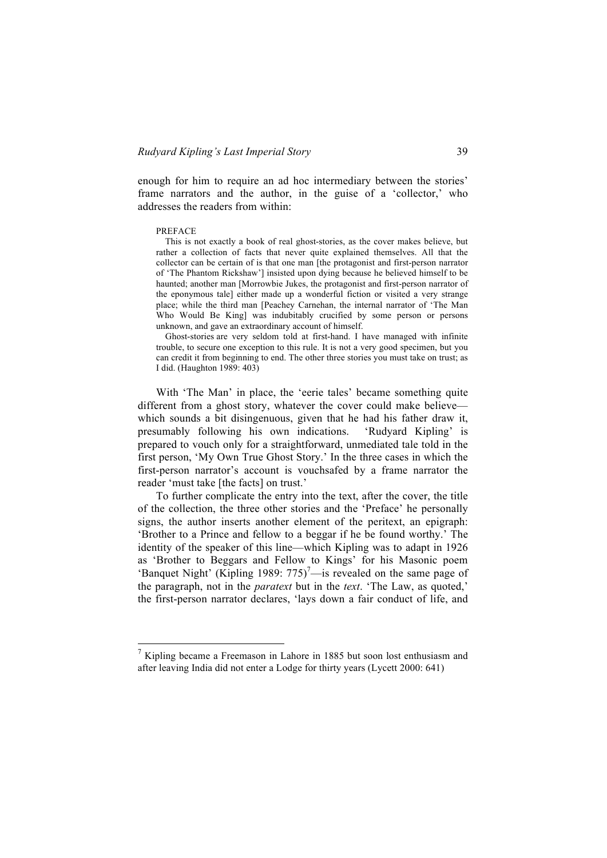enough for him to require an ad hoc intermediary between the stories' frame narrators and the author, in the guise of a 'collector,' who addresses the readers from within:

#### PREFACE

This is not exactly a book of real ghost-stories, as the cover makes believe, but rather a collection of facts that never quite explained themselves. All that the collector can be certain of is that one man [the protagonist and first-person narrator of 'The Phantom Rickshaw'] insisted upon dying because he believed himself to be haunted; another man [Morrowbie Jukes, the protagonist and first-person narrator of the eponymous tale] either made up a wonderful fiction or visited a very strange place; while the third man [Peachey Carnehan, the internal narrator of 'The Man Who Would Be King] was indubitably crucified by some person or persons unknown, and gave an extraordinary account of himself.

Ghost-stories are very seldom told at first-hand. I have managed with infinite trouble, to secure one exception to this rule. It is not a very good specimen, but you can credit it from beginning to end. The other three stories you must take on trust; as I did. (Haughton 1989: 403)

With 'The Man' in place, the 'eerie tales' became something quite different from a ghost story, whatever the cover could make believe which sounds a bit disingenuous, given that he had his father draw it, presumably following his own indications. 'Rudyard Kipling' is prepared to vouch only for a straightforward, unmediated tale told in the first person, 'My Own True Ghost Story.' In the three cases in which the first-person narrator's account is vouchsafed by a frame narrator the reader 'must take [the facts] on trust.'

To further complicate the entry into the text, after the cover, the title of the collection, the three other stories and the 'Preface' he personally signs, the author inserts another element of the peritext, an epigraph: 'Brother to a Prince and fellow to a beggar if he be found worthy.' The identity of the speaker of this line—which Kipling was to adapt in 1926 as 'Brother to Beggars and Fellow to Kings' for his Masonic poem 'Banquet Night' (Kipling 1989:  $775$ )<sup>7</sup>—is revealed on the same page of the paragraph, not in the *paratext* but in the *text*. 'The Law, as quoted,' the first-person narrator declares, 'lays down a fair conduct of life, and

 $\frac{7}{1}$  Kipling became a Freemason in Lahore in 1885 but soon lost enthusiasm and after leaving India did not enter a Lodge for thirty years (Lycett 2000: 641)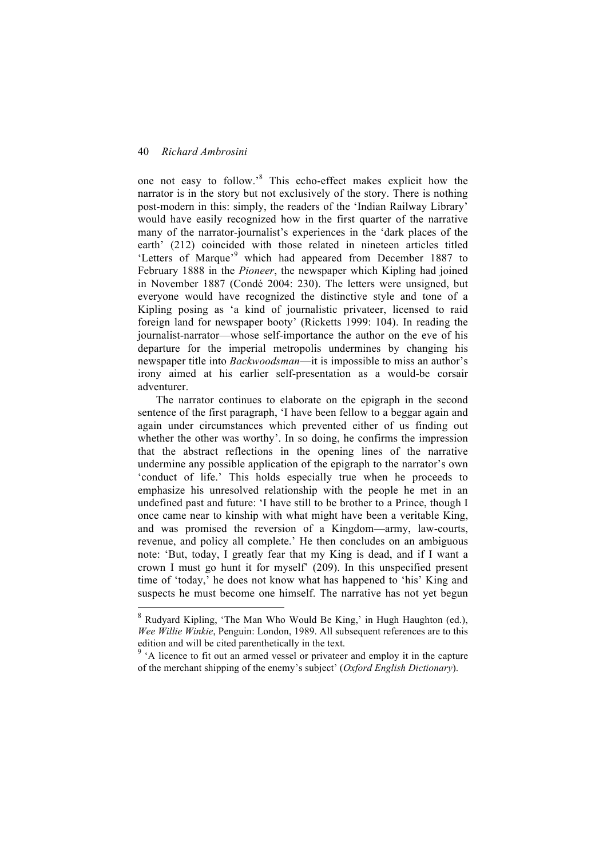one not easy to follow.'<sup>8</sup> This echo-effect makes explicit how the narrator is in the story but not exclusively of the story. There is nothing post-modern in this: simply, the readers of the 'Indian Railway Library' would have easily recognized how in the first quarter of the narrative many of the narrator-journalist's experiences in the 'dark places of the earth' (212) coincided with those related in nineteen articles titled 'Letters of Marque'<sup>9</sup> which had appeared from December 1887 to February 1888 in the *Pioneer*, the newspaper which Kipling had joined in November 1887 (Condé 2004: 230). The letters were unsigned, but everyone would have recognized the distinctive style and tone of a Kipling posing as 'a kind of journalistic privateer, licensed to raid foreign land for newspaper booty' (Ricketts 1999: 104). In reading the journalist-narrator—whose self-importance the author on the eve of his departure for the imperial metropolis undermines by changing his newspaper title into *Backwoodsman*—it is impossible to miss an author's irony aimed at his earlier self-presentation as a would-be corsair adventurer.

The narrator continues to elaborate on the epigraph in the second sentence of the first paragraph, 'I have been fellow to a beggar again and again under circumstances which prevented either of us finding out whether the other was worthy'. In so doing, he confirms the impression that the abstract reflections in the opening lines of the narrative undermine any possible application of the epigraph to the narrator's own 'conduct of life.' This holds especially true when he proceeds to emphasize his unresolved relationship with the people he met in an undefined past and future: 'I have still to be brother to a Prince, though I once came near to kinship with what might have been a veritable King, and was promised the reversion of a Kingdom—army, law-courts, revenue, and policy all complete.' He then concludes on an ambiguous note: 'But, today, I greatly fear that my King is dead, and if I want a crown I must go hunt it for myself' (209). In this unspecified present time of 'today,' he does not know what has happened to 'his' King and suspects he must become one himself. The narrative has not yet begun

 <sup>8</sup> Rudyard Kipling, 'The Man Who Would Be King,' in Hugh Haughton (ed.), *Wee Willie Winkie*, Penguin: London, 1989. All subsequent references are to this edition and will be cited parenthetically in the text.

<sup>&</sup>lt;sup>9</sup> 'A licence to fit out an armed vessel or privateer and employ it in the capture of the merchant shipping of the enemy's subject' (*Oxford English Dictionary*).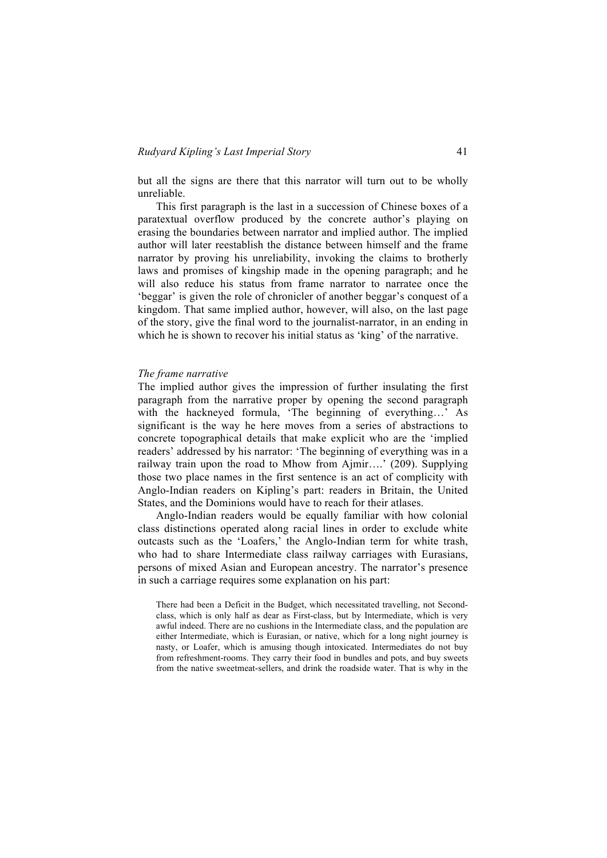but all the signs are there that this narrator will turn out to be wholly unreliable.

This first paragraph is the last in a succession of Chinese boxes of a paratextual overflow produced by the concrete author's playing on erasing the boundaries between narrator and implied author. The implied author will later reestablish the distance between himself and the frame narrator by proving his unreliability, invoking the claims to brotherly laws and promises of kingship made in the opening paragraph; and he will also reduce his status from frame narrator to narratee once the 'beggar' is given the role of chronicler of another beggar's conquest of a kingdom. That same implied author, however, will also, on the last page of the story, give the final word to the journalist-narrator, in an ending in which he is shown to recover his initial status as 'king' of the narrative.

#### *The frame narrative*

The implied author gives the impression of further insulating the first paragraph from the narrative proper by opening the second paragraph with the hackneyed formula, 'The beginning of everything…' As significant is the way he here moves from a series of abstractions to concrete topographical details that make explicit who are the 'implied readers' addressed by his narrator: 'The beginning of everything was in a railway train upon the road to Mhow from Ajmir….' (209). Supplying those two place names in the first sentence is an act of complicity with Anglo-Indian readers on Kipling's part: readers in Britain, the United States, and the Dominions would have to reach for their atlases.

Anglo-Indian readers would be equally familiar with how colonial class distinctions operated along racial lines in order to exclude white outcasts such as the 'Loafers,' the Anglo-Indian term for white trash, who had to share Intermediate class railway carriages with Eurasians, persons of mixed Asian and European ancestry. The narrator's presence in such a carriage requires some explanation on his part:

There had been a Deficit in the Budget, which necessitated travelling, not Secondclass, which is only half as dear as First-class, but by Intermediate, which is very awful indeed. There are no cushions in the Intermediate class, and the population are either Intermediate, which is Eurasian, or native, which for a long night journey is nasty, or Loafer, which is amusing though intoxicated. Intermediates do not buy from refreshment-rooms. They carry their food in bundles and pots, and buy sweets from the native sweetmeat-sellers, and drink the roadside water. That is why in the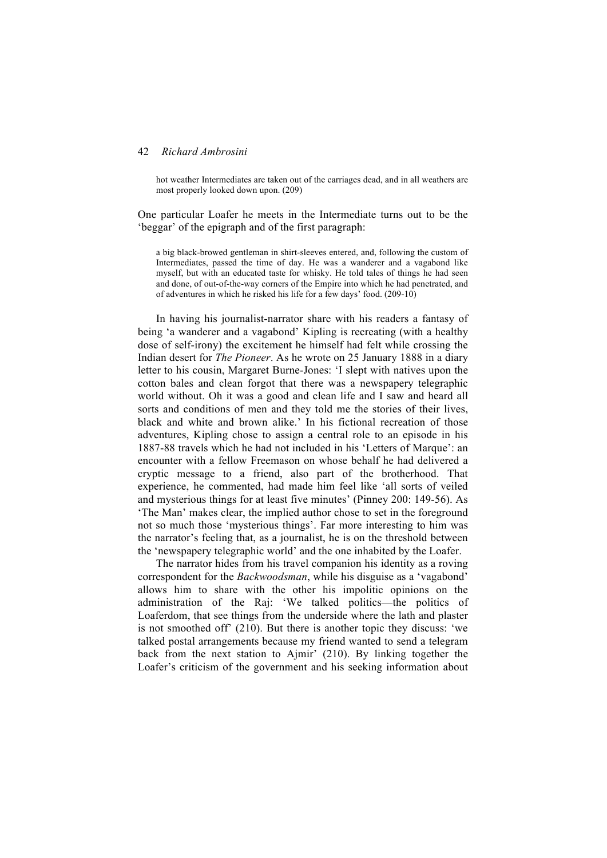hot weather Intermediates are taken out of the carriages dead, and in all weathers are most properly looked down upon. (209)

One particular Loafer he meets in the Intermediate turns out to be the 'beggar' of the epigraph and of the first paragraph:

a big black-browed gentleman in shirt-sleeves entered, and, following the custom of Intermediates, passed the time of day. He was a wanderer and a vagabond like myself, but with an educated taste for whisky. He told tales of things he had seen and done, of out-of-the-way corners of the Empire into which he had penetrated, and of adventures in which he risked his life for a few days' food. (209-10)

In having his journalist-narrator share with his readers a fantasy of being 'a wanderer and a vagabond' Kipling is recreating (with a healthy dose of self-irony) the excitement he himself had felt while crossing the Indian desert for *The Pioneer*. As he wrote on 25 January 1888 in a diary letter to his cousin, Margaret Burne-Jones: 'I slept with natives upon the cotton bales and clean forgot that there was a newspapery telegraphic world without. Oh it was a good and clean life and I saw and heard all sorts and conditions of men and they told me the stories of their lives, black and white and brown alike.' In his fictional recreation of those adventures, Kipling chose to assign a central role to an episode in his 1887-88 travels which he had not included in his 'Letters of Marque': an encounter with a fellow Freemason on whose behalf he had delivered a cryptic message to a friend, also part of the brotherhood. That experience, he commented, had made him feel like 'all sorts of veiled and mysterious things for at least five minutes' (Pinney 200: 149-56). As 'The Man' makes clear, the implied author chose to set in the foreground not so much those 'mysterious things'. Far more interesting to him was the narrator's feeling that, as a journalist, he is on the threshold between the 'newspapery telegraphic world' and the one inhabited by the Loafer.

The narrator hides from his travel companion his identity as a roving correspondent for the *Backwoodsman*, while his disguise as a 'vagabond' allows him to share with the other his impolitic opinions on the administration of the Raj: 'We talked politics—the politics of Loaferdom, that see things from the underside where the lath and plaster is not smoothed off' (210). But there is another topic they discuss: 'we talked postal arrangements because my friend wanted to send a telegram back from the next station to Ajmir' (210). By linking together the Loafer's criticism of the government and his seeking information about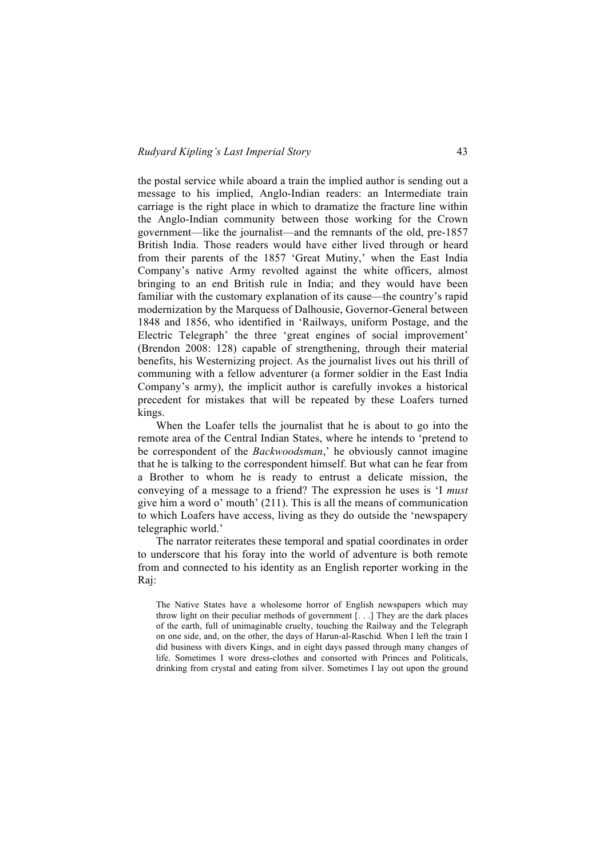the postal service while aboard a train the implied author is sending out a message to his implied, Anglo-Indian readers: an Intermediate train carriage is the right place in which to dramatize the fracture line within the Anglo-Indian community between those working for the Crown government—like the journalist—and the remnants of the old, pre-1857 British India. Those readers would have either lived through or heard from their parents of the 1857 'Great Mutiny,' when the East India Company's native Army revolted against the white officers, almost bringing to an end British rule in India; and they would have been familiar with the customary explanation of its cause—the country's rapid modernization by the Marquess of Dalhousie, Governor-General between 1848 and 1856, who identified in 'Railways, uniform Postage, and the Electric Telegraph' the three 'great engines of social improvement' (Brendon 2008: 128) capable of strengthening, through their material benefits, his Westernizing project. As the journalist lives out his thrill of communing with a fellow adventurer (a former soldier in the East India Company's army), the implicit author is carefully invokes a historical precedent for mistakes that will be repeated by these Loafers turned kings.

When the Loafer tells the journalist that he is about to go into the remote area of the Central Indian States, where he intends to 'pretend to be correspondent of the *Backwoodsman*,' he obviously cannot imagine that he is talking to the correspondent himself. But what can he fear from a Brother to whom he is ready to entrust a delicate mission, the conveying of a message to a friend? The expression he uses is 'I *must* give him a word o' mouth' (211). This is all the means of communication to which Loafers have access, living as they do outside the 'newspapery telegraphic world.'

The narrator reiterates these temporal and spatial coordinates in order to underscore that his foray into the world of adventure is both remote from and connected to his identity as an English reporter working in the Raj:

The Native States have a wholesome horror of English newspapers which may throw light on their peculiar methods of government [. . .] They are the dark places of the earth, full of unimaginable cruelty, touching the Railway and the Telegraph on one side, and, on the other, the days of Harun-al-Raschid*.* When I left the train I did business with divers Kings, and in eight days passed through many changes of life. Sometimes I wore dress-clothes and consorted with Princes and Politicals, drinking from crystal and eating from silver. Sometimes I lay out upon the ground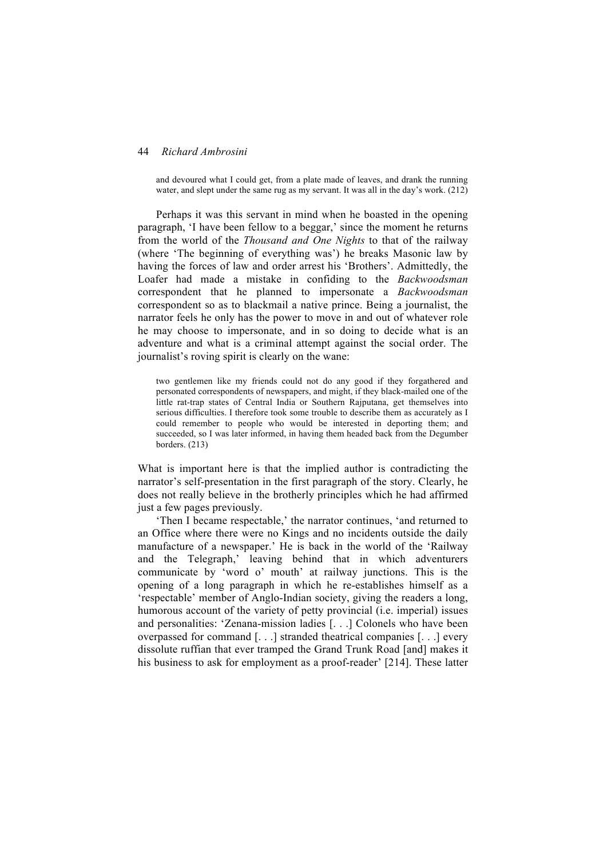and devoured what I could get, from a plate made of leaves, and drank the running water, and slept under the same rug as my servant. It was all in the day's work. (212)

Perhaps it was this servant in mind when he boasted in the opening paragraph, 'I have been fellow to a beggar,' since the moment he returns from the world of the *Thousand and One Nights* to that of the railway (where 'The beginning of everything was') he breaks Masonic law by having the forces of law and order arrest his 'Brothers'. Admittedly, the Loafer had made a mistake in confiding to the *Backwoodsman* correspondent that he planned to impersonate a *Backwoodsman*  correspondent so as to blackmail a native prince. Being a journalist, the narrator feels he only has the power to move in and out of whatever role he may choose to impersonate, and in so doing to decide what is an adventure and what is a criminal attempt against the social order. The journalist's roving spirit is clearly on the wane:

two gentlemen like my friends could not do any good if they forgathered and personated correspondents of newspapers, and might, if they black-mailed one of the little rat-trap states of Central India or Southern Rajputana, get themselves into serious difficulties. I therefore took some trouble to describe them as accurately as I could remember to people who would be interested in deporting them; and succeeded, so I was later informed, in having them headed back from the Degumber borders. (213)

What is important here is that the implied author is contradicting the narrator's self-presentation in the first paragraph of the story. Clearly, he does not really believe in the brotherly principles which he had affirmed just a few pages previously.

'Then I became respectable,' the narrator continues, 'and returned to an Office where there were no Kings and no incidents outside the daily manufacture of a newspaper.' He is back in the world of the 'Railway and the Telegraph,' leaving behind that in which adventurers communicate by 'word o' mouth' at railway junctions. This is the opening of a long paragraph in which he re-establishes himself as a 'respectable' member of Anglo-Indian society, giving the readers a long, humorous account of the variety of petty provincial (i.e. imperial) issues and personalities: 'Zenana-mission ladies [. . .] Colonels who have been overpassed for command [. . .] stranded theatrical companies [. . .] every dissolute ruffian that ever tramped the Grand Trunk Road [and] makes it his business to ask for employment as a proof-reader' [214]. These latter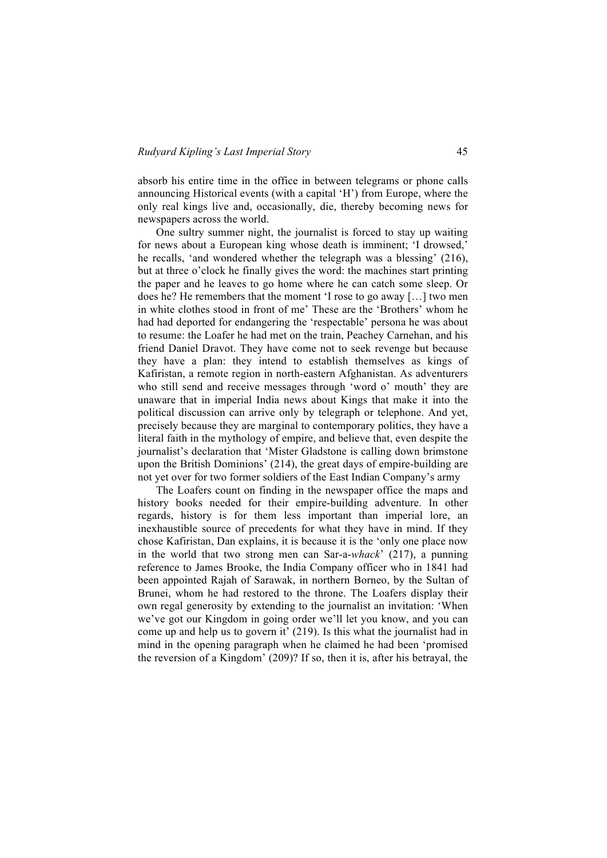absorb his entire time in the office in between telegrams or phone calls announcing Historical events (with a capital 'H') from Europe, where the only real kings live and, occasionally, die, thereby becoming news for newspapers across the world.

One sultry summer night, the journalist is forced to stay up waiting for news about a European king whose death is imminent; 'I drowsed,' he recalls, 'and wondered whether the telegraph was a blessing' (216), but at three o'clock he finally gives the word: the machines start printing the paper and he leaves to go home where he can catch some sleep. Or does he? He remembers that the moment 'I rose to go away […] two men in white clothes stood in front of me' These are the 'Brothers' whom he had had deported for endangering the 'respectable' persona he was about to resume: the Loafer he had met on the train, Peachey Carnehan, and his friend Daniel Dravot. They have come not to seek revenge but because they have a plan: they intend to establish themselves as kings of Kafiristan, a remote region in north-eastern Afghanistan. As adventurers who still send and receive messages through 'word o' mouth' they are unaware that in imperial India news about Kings that make it into the political discussion can arrive only by telegraph or telephone. And yet, precisely because they are marginal to contemporary politics, they have a literal faith in the mythology of empire, and believe that, even despite the journalist's declaration that 'Mister Gladstone is calling down brimstone upon the British Dominions' (214), the great days of empire-building are not yet over for two former soldiers of the East Indian Company's army

The Loafers count on finding in the newspaper office the maps and history books needed for their empire-building adventure. In other regards, history is for them less important than imperial lore, an inexhaustible source of precedents for what they have in mind. If they chose Kafiristan, Dan explains, it is because it is the 'only one place now in the world that two strong men can Sar-a-*whack*' (217), a punning reference to James Brooke, the India Company officer who in 1841 had been appointed Rajah of Sarawak, in northern Borneo, by the Sultan of Brunei, whom he had restored to the throne. The Loafers display their own regal generosity by extending to the journalist an invitation: 'When we've got our Kingdom in going order we'll let you know, and you can come up and help us to govern it' (219). Is this what the journalist had in mind in the opening paragraph when he claimed he had been 'promised the reversion of a Kingdom' (209)? If so, then it is, after his betrayal, the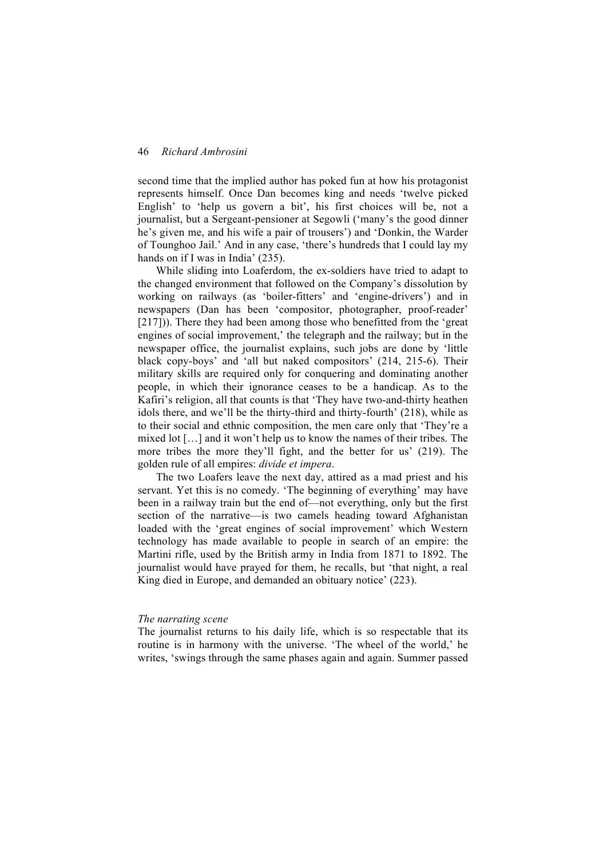second time that the implied author has poked fun at how his protagonist represents himself. Once Dan becomes king and needs 'twelve picked English' to 'help us govern a bit', his first choices will be, not a journalist, but a Sergeant-pensioner at Segowli ('many's the good dinner he's given me, and his wife a pair of trousers') and 'Donkin, the Warder of Tounghoo Jail.' And in any case, 'there's hundreds that I could lay my hands on if I was in India' (235).

While sliding into Loaferdom, the ex-soldiers have tried to adapt to the changed environment that followed on the Company's dissolution by working on railways (as 'boiler-fitters' and 'engine-drivers') and in newspapers (Dan has been 'compositor, photographer, proof-reader' [217])). There they had been among those who benefitted from the 'great engines of social improvement,' the telegraph and the railway; but in the newspaper office, the journalist explains, such jobs are done by 'little black copy-boys' and 'all but naked compositors' (214, 215-6). Their military skills are required only for conquering and dominating another people, in which their ignorance ceases to be a handicap. As to the Kafiri's religion, all that counts is that 'They have two-and-thirty heathen idols there, and we'll be the thirty-third and thirty-fourth' (218), while as to their social and ethnic composition, the men care only that 'They're a mixed lot […] and it won't help us to know the names of their tribes. The more tribes the more they'll fight, and the better for us' (219). The golden rule of all empires: *divide et impera*.

The two Loafers leave the next day, attired as a mad priest and his servant. Yet this is no comedy. 'The beginning of everything' may have been in a railway train but the end of—not everything, only but the first section of the narrative—is two camels heading toward Afghanistan loaded with the 'great engines of social improvement' which Western technology has made available to people in search of an empire: the Martini rifle, used by the British army in India from 1871 to 1892. The journalist would have prayed for them, he recalls, but 'that night, a real King died in Europe, and demanded an obituary notice' (223).

#### *The narrating scene*

The journalist returns to his daily life, which is so respectable that its routine is in harmony with the universe. 'The wheel of the world,' he writes, 'swings through the same phases again and again. Summer passed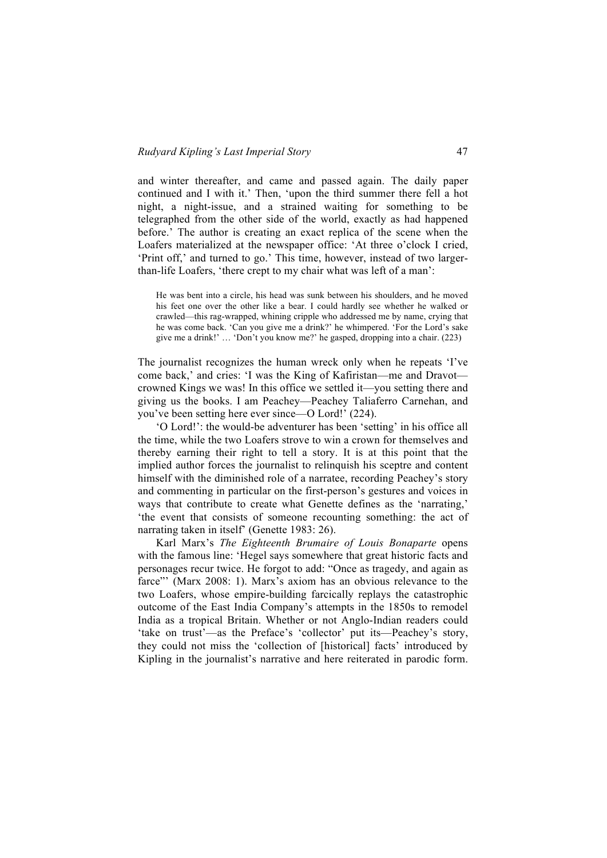and winter thereafter, and came and passed again. The daily paper continued and I with it.' Then, 'upon the third summer there fell a hot night, a night-issue, and a strained waiting for something to be telegraphed from the other side of the world, exactly as had happened before.' The author is creating an exact replica of the scene when the Loafers materialized at the newspaper office: 'At three o'clock I cried, 'Print off,' and turned to go.' This time, however, instead of two largerthan-life Loafers, 'there crept to my chair what was left of a man':

He was bent into a circle, his head was sunk between his shoulders, and he moved his feet one over the other like a bear. I could hardly see whether he walked or crawled—this rag-wrapped, whining cripple who addressed me by name, crying that he was come back. 'Can you give me a drink?' he whimpered. 'For the Lord's sake give me a drink!' … 'Don't you know me?' he gasped, dropping into a chair. (223)

The journalist recognizes the human wreck only when he repeats 'I've come back,' and cries: 'I was the King of Kafiristan—me and Dravot crowned Kings we was! In this office we settled it—you setting there and giving us the books. I am Peachey—Peachey Taliaferro Carnehan, and you've been setting here ever since—O Lord!' (224).

'O Lord!': the would-be adventurer has been 'setting' in his office all the time, while the two Loafers strove to win a crown for themselves and thereby earning their right to tell a story. It is at this point that the implied author forces the journalist to relinquish his sceptre and content himself with the diminished role of a narratee, recording Peachey's story and commenting in particular on the first-person's gestures and voices in ways that contribute to create what Genette defines as the 'narrating,' 'the event that consists of someone recounting something: the act of narrating taken in itself' (Genette 1983: 26).

Karl Marx's *The Eighteenth Brumaire of Louis Bonaparte* opens with the famous line: 'Hegel says somewhere that great historic facts and personages recur twice. He forgot to add: "Once as tragedy, and again as farce"' (Marx 2008: 1). Marx's axiom has an obvious relevance to the two Loafers, whose empire-building farcically replays the catastrophic outcome of the East India Company's attempts in the 1850s to remodel India as a tropical Britain. Whether or not Anglo-Indian readers could 'take on trust'—as the Preface's 'collector' put its—Peachey's story, they could not miss the 'collection of [historical] facts' introduced by Kipling in the journalist's narrative and here reiterated in parodic form.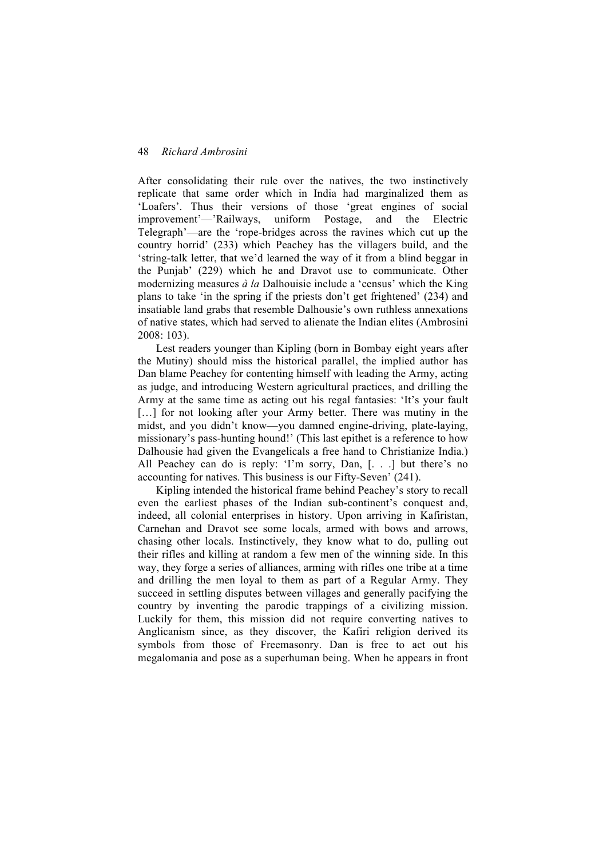After consolidating their rule over the natives, the two instinctively replicate that same order which in India had marginalized them as 'Loafers'. Thus their versions of those 'great engines of social improvement'—'Railways, uniform Postage, and the Electric Telegraph'—are the 'rope-bridges across the ravines which cut up the country horrid' (233) which Peachey has the villagers build, and the 'string-talk letter, that we'd learned the way of it from a blind beggar in the Punjab' (229) which he and Dravot use to communicate. Other modernizing measures *à la* Dalhouisie include a 'census' which the King plans to take 'in the spring if the priests don't get frightened' (234) and insatiable land grabs that resemble Dalhousie's own ruthless annexations of native states, which had served to alienate the Indian elites (Ambrosini 2008: 103).

Lest readers younger than Kipling (born in Bombay eight years after the Mutiny) should miss the historical parallel, the implied author has Dan blame Peachey for contenting himself with leading the Army, acting as judge, and introducing Western agricultural practices, and drilling the Army at the same time as acting out his regal fantasies: 'It's your fault [...] for not looking after your Army better. There was mutiny in the midst, and you didn't know—you damned engine-driving, plate-laying, missionary's pass-hunting hound!' (This last epithet is a reference to how Dalhousie had given the Evangelicals a free hand to Christianize India.) All Peachey can do is reply: 'I'm sorry, Dan, [...] but there's no accounting for natives. This business is our Fifty-Seven' (241).

Kipling intended the historical frame behind Peachey's story to recall even the earliest phases of the Indian sub-continent's conquest and, indeed, all colonial enterprises in history. Upon arriving in Kafiristan, Carnehan and Dravot see some locals, armed with bows and arrows, chasing other locals. Instinctively, they know what to do, pulling out their rifles and killing at random a few men of the winning side. In this way, they forge a series of alliances, arming with rifles one tribe at a time and drilling the men loyal to them as part of a Regular Army. They succeed in settling disputes between villages and generally pacifying the country by inventing the parodic trappings of a civilizing mission. Luckily for them, this mission did not require converting natives to Anglicanism since, as they discover, the Kafiri religion derived its symbols from those of Freemasonry. Dan is free to act out his megalomania and pose as a superhuman being. When he appears in front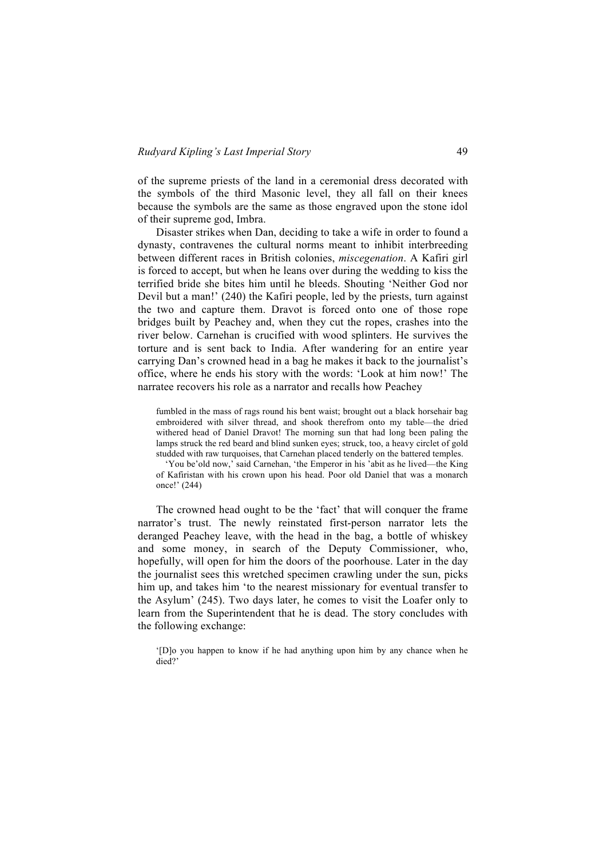of the supreme priests of the land in a ceremonial dress decorated with the symbols of the third Masonic level, they all fall on their knees because the symbols are the same as those engraved upon the stone idol of their supreme god, Imbra.

Disaster strikes when Dan, deciding to take a wife in order to found a dynasty, contravenes the cultural norms meant to inhibit interbreeding between different races in British colonies, *miscegenation*. A Kafiri girl is forced to accept, but when he leans over during the wedding to kiss the terrified bride she bites him until he bleeds. Shouting 'Neither God nor Devil but a man!' (240) the Kafiri people, led by the priests, turn against the two and capture them. Dravot is forced onto one of those rope bridges built by Peachey and, when they cut the ropes, crashes into the river below. Carnehan is crucified with wood splinters. He survives the torture and is sent back to India. After wandering for an entire year carrying Dan's crowned head in a bag he makes it back to the journalist's office, where he ends his story with the words: 'Look at him now!' The narratee recovers his role as a narrator and recalls how Peachey

fumbled in the mass of rags round his bent waist; brought out a black horsehair bag embroidered with silver thread, and shook therefrom onto my table—the dried withered head of Daniel Dravot! The morning sun that had long been paling the lamps struck the red beard and blind sunken eyes; struck, too, a heavy circlet of gold studded with raw turquoises, that Carnehan placed tenderly on the battered temples.

'You be'old now,' said Carnehan, 'the Emperor in his 'abit as he lived—the King of Kafiristan with his crown upon his head. Poor old Daniel that was a monarch once!' (244)

The crowned head ought to be the 'fact' that will conquer the frame narrator's trust. The newly reinstated first-person narrator lets the deranged Peachey leave, with the head in the bag, a bottle of whiskey and some money, in search of the Deputy Commissioner, who, hopefully, will open for him the doors of the poorhouse. Later in the day the journalist sees this wretched specimen crawling under the sun, picks him up, and takes him 'to the nearest missionary for eventual transfer to the Asylum' (245). Two days later, he comes to visit the Loafer only to learn from the Superintendent that he is dead. The story concludes with the following exchange:

<sup>&#</sup>x27;[D]o you happen to know if he had anything upon him by any chance when he died?'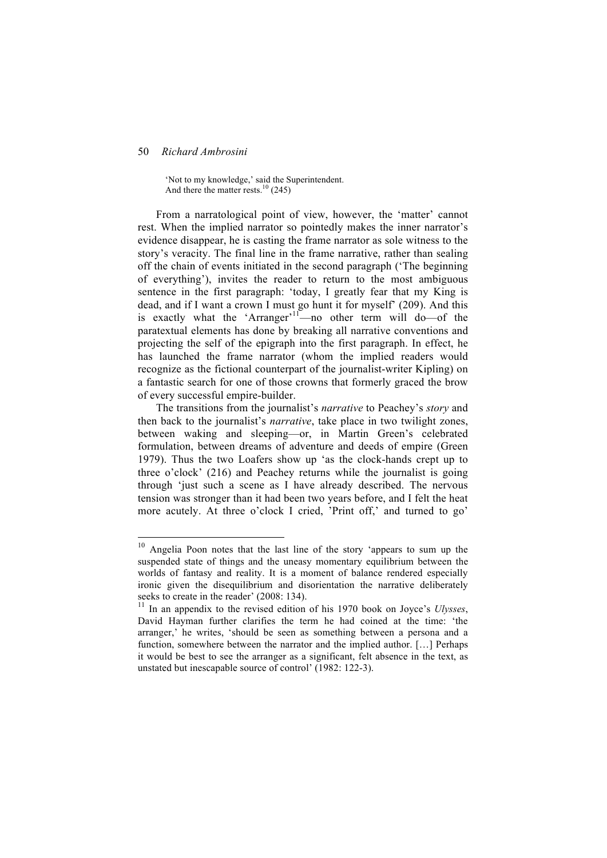'Not to my knowledge,' said the Superintendent. And there the matter rests.<sup>10</sup> (245)

From a narratological point of view, however, the 'matter' cannot rest. When the implied narrator so pointedly makes the inner narrator's evidence disappear, he is casting the frame narrator as sole witness to the story's veracity. The final line in the frame narrative, rather than sealing off the chain of events initiated in the second paragraph ('The beginning of everything'), invites the reader to return to the most ambiguous sentence in the first paragraph: 'today, I greatly fear that my King is dead, and if I want a crown I must go hunt it for myself' (209). And this is exactly what the 'Arranger'<sup>11</sup>—no other term will do—of the paratextual elements has done by breaking all narrative conventions and projecting the self of the epigraph into the first paragraph. In effect, he has launched the frame narrator (whom the implied readers would recognize as the fictional counterpart of the journalist-writer Kipling) on a fantastic search for one of those crowns that formerly graced the brow of every successful empire-builder.

The transitions from the journalist's *narrative* to Peachey's *story* and then back to the journalist's *narrative*, take place in two twilight zones, between waking and sleeping—or, in Martin Green's celebrated formulation, between dreams of adventure and deeds of empire (Green 1979). Thus the two Loafers show up 'as the clock-hands crept up to three o'clock' (216) and Peachey returns while the journalist is going through 'just such a scene as I have already described. The nervous tension was stronger than it had been two years before, and I felt the heat more acutely. At three o'clock I cried, 'Print off,' and turned to go'

<sup>&</sup>lt;sup>10</sup> Angelia Poon notes that the last line of the story 'appears to sum up the suspended state of things and the uneasy momentary equilibrium between the worlds of fantasy and reality. It is a moment of balance rendered especially ironic given the disequilibrium and disorientation the narrative deliberately seeks to create in the reader' (2008: 134).

<sup>11</sup> In an appendix to the revised edition of his 1970 book on Joyce's *Ulysses*, David Hayman further clarifies the term he had coined at the time: 'the arranger,' he writes, 'should be seen as something between a persona and a function, somewhere between the narrator and the implied author. […] Perhaps it would be best to see the arranger as a significant, felt absence in the text, as unstated but inescapable source of control' (1982: 122-3).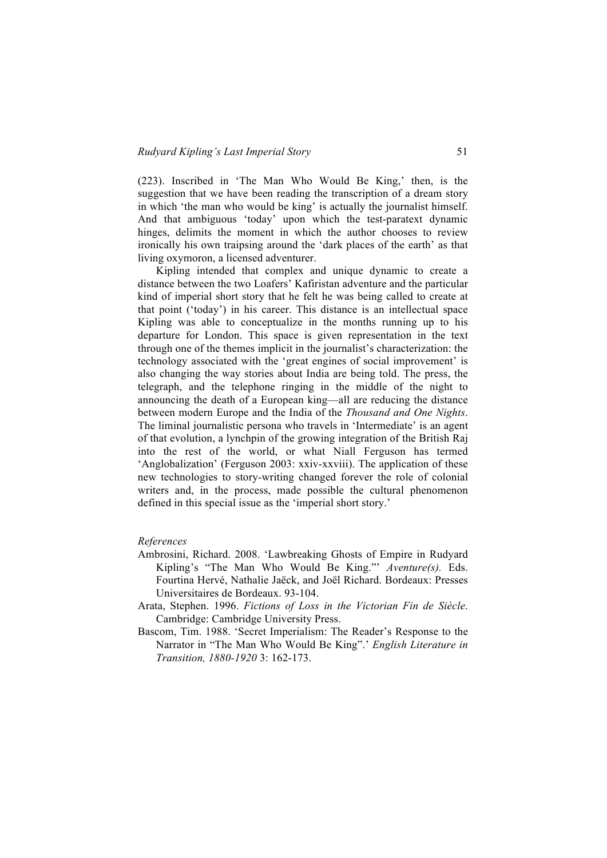(223). Inscribed in 'The Man Who Would Be King,' then, is the suggestion that we have been reading the transcription of a dream story in which 'the man who would be king' is actually the journalist himself. And that ambiguous 'today' upon which the test-paratext dynamic hinges, delimits the moment in which the author chooses to review ironically his own traipsing around the 'dark places of the earth' as that living oxymoron, a licensed adventurer.

Kipling intended that complex and unique dynamic to create a distance between the two Loafers' Kafiristan adventure and the particular kind of imperial short story that he felt he was being called to create at that point ('today') in his career. This distance is an intellectual space Kipling was able to conceptualize in the months running up to his departure for London. This space is given representation in the text through one of the themes implicit in the journalist's characterization: the technology associated with the 'great engines of social improvement' is also changing the way stories about India are being told. The press, the telegraph, and the telephone ringing in the middle of the night to announcing the death of a European king—all are reducing the distance between modern Europe and the India of the *Thousand and One Nights*. The liminal journalistic persona who travels in 'Intermediate' is an agent of that evolution, a lynchpin of the growing integration of the British Raj into the rest of the world, or what Niall Ferguson has termed 'Anglobalization' (Ferguson 2003: xxiv-xxviii). The application of these new technologies to story-writing changed forever the role of colonial writers and, in the process, made possible the cultural phenomenon defined in this special issue as the 'imperial short story.'

# *References*

- Ambrosini, Richard. 2008. 'Lawbreaking Ghosts of Empire in Rudyard Kipling's "The Man Who Would Be King."' *Aventure(s).* Eds. Fourtina Hervé, Nathalie Jaëck, and Joël Richard. Bordeaux: Presses Universitaires de Bordeaux. 93-104.
- Arata, Stephen. 1996. *Fictions of Loss in the Victorian Fin de Siècle*. Cambridge: Cambridge University Press.
- Bascom, Tim. 1988. 'Secret Imperialism: The Reader's Response to the Narrator in "The Man Who Would Be King".' *English Literature in Transition, 1880-1920* 3: 162-173.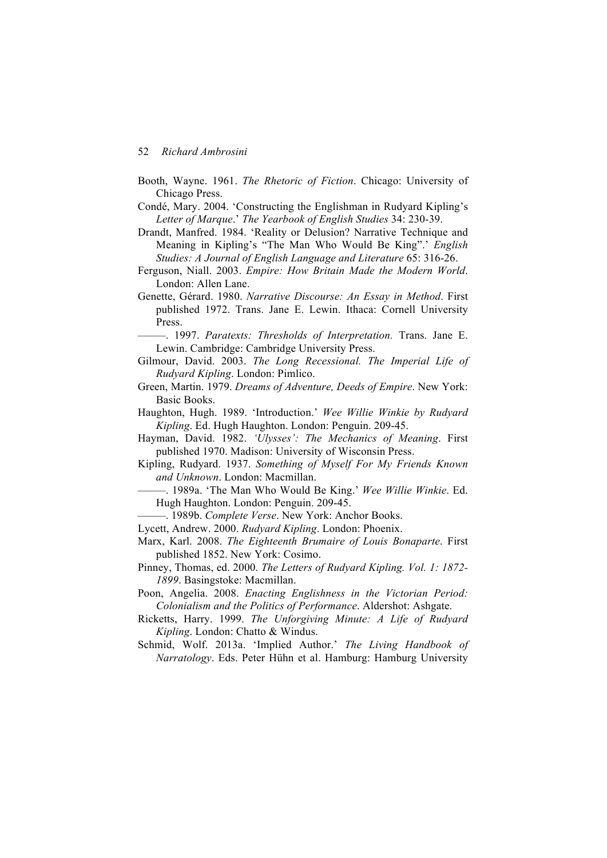- Booth, Wayne. 1961. *The Rhetoric of Fiction*. Chicago: University of Chicago Press.
- Condé, Mary. 2004. 'Constructing the Englishman in Rudyard Kipling's *Letter of Marque*.' *The Yearbook of English Studies* 34: 230-39.
- Drandt, Manfred. 1984. 'Reality or Delusion? Narrative Technique and Meaning in Kipling's "The Man Who Would Be King".' *English Studies: A Journal of English Language and Literature* 65: 316-26.
- Ferguson, Niall. 2003. *Empire: How Britain Made the Modern World*. London: Allen Lane.
- Genette, Gérard. 1980. *Narrative Discourse: An Essay in Method*. First published 1972. Trans. Jane E. Lewin. Ithaca: Cornell University Press.
	- –––––. 1997. *Paratexts: Thresholds of Interpretation.* Trans. Jane E. Lewin. Cambridge: Cambridge University Press.
- Gilmour, David. 2003. *The Long Recessional. The Imperial Life of Rudyard Kipling*. London: Pimlico.
- Green, Martin. 1979. *Dreams of Adventure, Deeds of Empire*. New York: Basic Books.
- Haughton, Hugh. 1989. 'Introduction.' *Wee Willie Winkie by Rudyard Kipling*. Ed. Hugh Haughton. London: Penguin. 209-45.
- Hayman, David. 1982. *'Ulysses': The Mechanics of Meaning*. First published 1970. Madison: University of Wisconsin Press.
- Kipling, Rudyard. 1937. *Something of Myself For My Friends Known and Unknown*. London: Macmillan.
- –––––. 1989a. 'The Man Who Would Be King.' *Wee Willie Winkie*. Ed. Hugh Haughton. London: Penguin. 209-45.
- –––––. 1989b. *Complete Verse*. New York: Anchor Books.
- Lycett, Andrew. 2000. *Rudyard Kipling*. London: Phoenix.
- Marx, Karl. 2008. *The Eighteenth Brumaire of Louis Bonaparte*. First published 1852. New York: Cosimo.
- Pinney, Thomas, ed. 2000. *The Letters of Rudyard Kipling. Vol. 1: 1872- 1899*. Basingstoke: Macmillan.
- Poon, Angelia. 2008. *Enacting Englishness in the Victorian Period: Colonialism and the Politics of Performance*. Aldershot: Ashgate.
- Ricketts, Harry. 1999. *The Unforgiving Minute: A Life of Rudyard Kipling*. London: Chatto & Windus.
- Schmid, Wolf. 2013a. 'Implied Author.' *The Living Handbook of Narratology*. Eds. Peter Hühn et al. Hamburg: Hamburg University